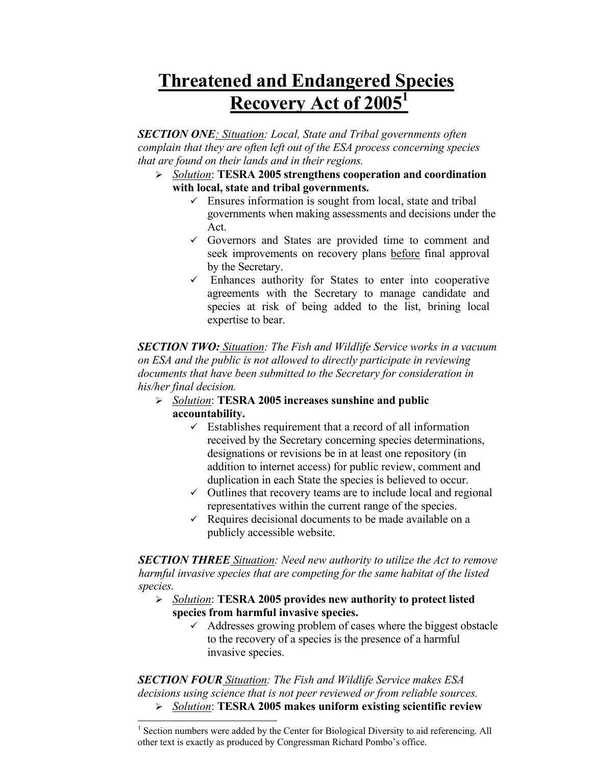## **Threatened and Endangered Species Recovery Act of 20051**

*SECTION ONE: Situation: Local, State and Tribal governments often complain that they are often left out of the ESA process concerning species that are found on their lands and in their regions.* 

- ¾ *Solution*: **TESRA 2005 strengthens cooperation and coordination with local, state and tribal governments.**
	- $\checkmark$  Ensures information is sought from local, state and tribal governments when making assessments and decisions under the Act.
	- $\checkmark$  Governors and States are provided time to comment and seek improvements on recovery plans before final approval by the Secretary.
	- $\checkmark$  Enhances authority for States to enter into cooperative agreements with the Secretary to manage candidate and species at risk of being added to the list, brining local expertise to bear.

*SECTION TWO: Situation: The Fish and Wildlife Service works in a vacuum on ESA and the public is not allowed to directly participate in reviewing documents that have been submitted to the Secretary for consideration in his/her final decision.* 

- ¾ *Solution*: **TESRA 2005 increases sunshine and public accountability.**
	- $\checkmark$  Establishes requirement that a record of all information received by the Secretary concerning species determinations, designations or revisions be in at least one repository (in addition to internet access) for public review, comment and duplication in each State the species is believed to occur.
	- $\checkmark$  Outlines that recovery teams are to include local and regional representatives within the current range of the species.
	- $\checkmark$  Requires decisional documents to be made available on a publicly accessible website.

*SECTION THREE Situation: Need new authority to utilize the Act to remove harmful invasive species that are competing for the same habitat of the listed species.*

- ¾ *Solution*: **TESRA 2005 provides new authority to protect listed species from harmful invasive species.**
	- $\checkmark$  Addresses growing problem of cases where the biggest obstacle to the recovery of a species is the presence of a harmful invasive species.

*SECTION FOUR Situation: The Fish and Wildlife Service makes ESA decisions using science that is not peer reviewed or from reliable sources.*

 $\overline{\phantom{a}}$ 

¾ *Solution*: **TESRA 2005 makes uniform existing scientific review** 

<sup>&</sup>lt;sup>1</sup> Section numbers were added by the Center for Biological Diversity to aid referencing. All other text is exactly as produced by Congressman Richard Pombo's office.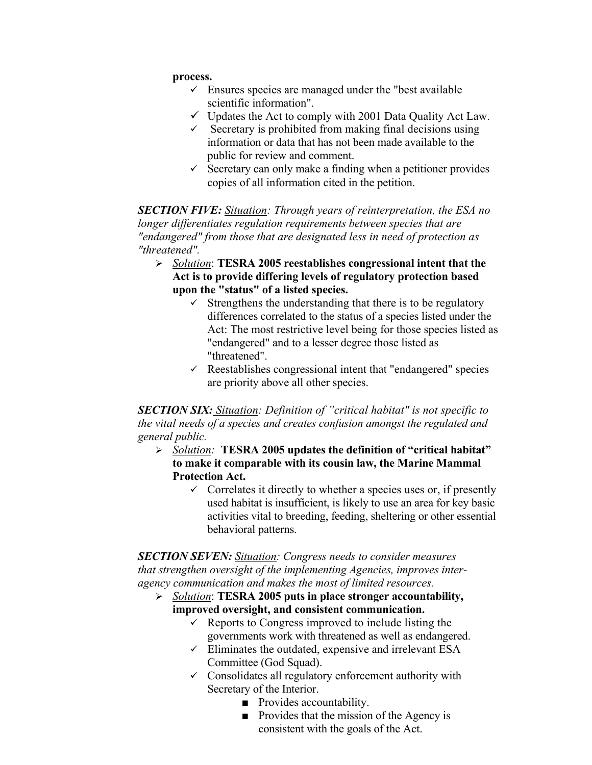## **process.**

- $\checkmark$  Ensures species are managed under the "best available" scientific information".
- $\checkmark$  Updates the Act to comply with 2001 Data Quality Act Law.
- $\checkmark$  Secretary is prohibited from making final decisions using information or data that has not been made available to the public for review and comment.
- $\checkmark$  Secretary can only make a finding when a petitioner provides copies of all information cited in the petition.

*SECTION FIVE: Situation: Through years of reinterpretation, the ESA no longer differentiates regulation requirements between species that are "endangered" from those that are designated less in need of protection as "threatened".* 

- ¾ *Solution*: **TESRA 2005 reestablishes congressional intent that the Act is to provide differing levels of regulatory protection based upon the "status" of a listed species.**
	- $\checkmark$  Strengthens the understanding that there is to be regulatory differences correlated to the status of a species listed under the Act: The most restrictive level being for those species listed as "endangered" and to a lesser degree those listed as "threatened".
	- $\checkmark$  Reestablishes congressional intent that "endangered" species are priority above all other species.

*SECTION SIX: Situation: Definition of "critical habitat" is not specific to the vital needs of a species and creates confusion amongst the regulated and general public.*

- ¾ *Solution:* **TESRA 2005 updates the definition of "critical habitat" to make it comparable with its cousin law, the Marine Mammal Protection Act.**
	- $\checkmark$  Correlates it directly to whether a species uses or, if presently used habitat is insufficient, is likely to use an area for key basic activities vital to breeding, feeding, sheltering or other essential behavioral patterns.

*SECTION SEVEN: Situation: Congress needs to consider measures that strengthen oversight of the implementing Agencies, improves interagency communication and makes the most of limited resources.*

- ¾ *Solution*: **TESRA 2005 puts in place stronger accountability, improved oversight, and consistent communication.**
	- $\checkmark$  Reports to Congress improved to include listing the governments work with threatened as well as endangered.
	- $\checkmark$  Eliminates the outdated, expensive and irrelevant ESA Committee (God Squad).
	- $\checkmark$  Consolidates all regulatory enforcement authority with Secretary of the Interior.
		- Provides accountability.
		- Provides that the mission of the Agency is consistent with the goals of the Act.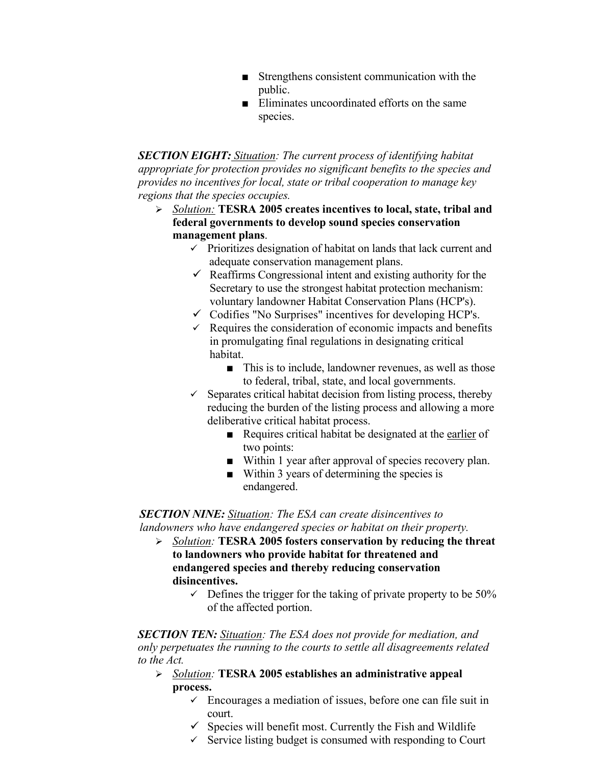- Strengthens consistent communication with the public.
- Eliminates uncoordinated efforts on the same species.

*SECTION EIGHT: Situation: The current process of identifying habitat appropriate for protection provides no significant benefits to the species and provides no incentives for local, state or tribal cooperation to manage key regions that the species occupies.*

- ¾ *Solution:* **TESRA 2005 creates incentives to local, state, tribal and federal governments to develop sound species conservation management plans**.
	- $\checkmark$  Prioritizes designation of habitat on lands that lack current and adequate conservation management plans.
	- $\checkmark$  Reaffirms Congressional intent and existing authority for the Secretary to use the strongest habitat protection mechanism: voluntary landowner Habitat Conservation Plans (HCP's).
	- $\checkmark$  Codifies "No Surprises" incentives for developing HCP's.
	- $\checkmark$  Requires the consideration of economic impacts and benefits in promulgating final regulations in designating critical habitat.
		- This is to include, landowner revenues, as well as those to federal, tribal, state, and local governments.
	- $\checkmark$  Separates critical habitat decision from listing process, thereby reducing the burden of the listing process and allowing a more deliberative critical habitat process.
		- Requires critical habitat be designated at the earlier of two points:
		- Within 1 year after approval of species recovery plan.
		- Within 3 years of determining the species is endangered.

## *SECTION NINE: Situation: The ESA can create disincentives to landowners who have endangered species or habitat on their property.*

- ¾ *Solution:* **TESRA 2005 fosters conservation by reducing the threat to landowners who provide habitat for threatened and endangered species and thereby reducing conservation disincentives.** 
	- $\sim$  Defines the trigger for the taking of private property to be 50% of the affected portion.

*SECTION TEN: Situation: The ESA does not provide for mediation, and only perpetuates the running to the courts to settle all disagreements related to the Act.*

- ¾ *Solution:* **TESRA 2005 establishes an administrative appeal process.**
	- $\checkmark$  Encourages a mediation of issues, before one can file suit in court.
	- $\checkmark$  Species will benefit most. Currently the Fish and Wildlife
	- $\checkmark$  Service listing budget is consumed with responding to Court